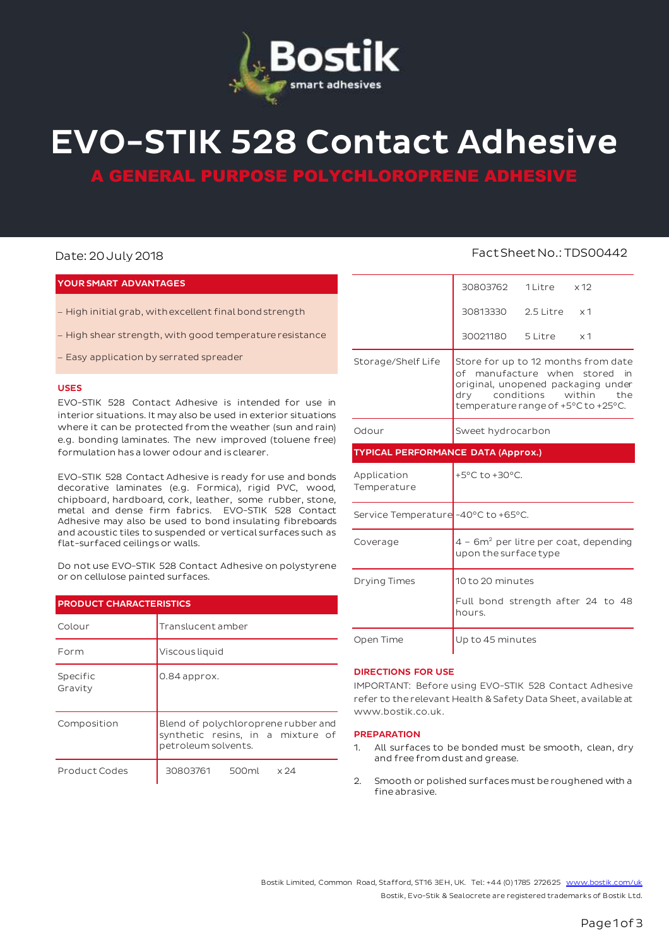

# **EVO-STIK 528 Contact Adhesive**

**GENERAL PURPOSE POLYCHLOROPRENE ADHESIVE** 

# **YOUR SMART ADVANTAGES**

- High initial grab, with excellent final bond strength
- High shear strength, with good temperature resistance
- Easy application by serrated spreader

# **USES**

EVO-STIK 528 Contact Adhesive is intended for use in interior situations. It may also be used in exterior situations where it can be protected from the weather (sun and rain) e.g. bonding laminates. The new improved (toluene free) formulation has a lower odour and is clearer.

EVO-STIK 528 Contact Adhesive is ready for use and bonds decorative laminates (e.g. Formica), rigid PVC, wood, chipboard, hardboard, cork, leather, some rubber, stone, metal and dense firm fabrics. EVO-STIK 528 Contact Adhesive may also be used to bond insulating fibreboards and acoustic tiles to suspended or vertical surfaces such as flat-surfaced ceilings or walls.

Do not use EVO-STIK 528 Contact Adhesive on polystyrene or on cellulose painted surfaces.

| <b>PRODUCT CHARACTERISTICS</b> |                                                                                                 |  |  |  |
|--------------------------------|-------------------------------------------------------------------------------------------------|--|--|--|
| Colour                         | Translucent amber                                                                               |  |  |  |
| Form                           | Viscous liquid                                                                                  |  |  |  |
| Specific<br>Gravity            | 0.84 approx.                                                                                    |  |  |  |
| Composition                    | Blend of polychloroprene rubber and<br>synthetic resins, in a mixture of<br>petroleum solvents. |  |  |  |
| Product Codes                  | 30803761<br>500ml<br>$\times 24$                                                                |  |  |  |

# Date: 20 July 2018 **Fact Sheet No.: TDS00442**

|                                           | 30803762                                                                                                                                                                          | 1 Litre x 12           |                |  |
|-------------------------------------------|-----------------------------------------------------------------------------------------------------------------------------------------------------------------------------------|------------------------|----------------|--|
|                                           | 30813330                                                                                                                                                                          | $2.5$ Litre $\times 1$ |                |  |
|                                           | 30021180 5 Litre                                                                                                                                                                  |                        | x <sub>1</sub> |  |
| Storage/Shelf Life                        | Store for up to 12 months from date<br>of manufacture when stored in<br>original, unopened packaging under<br>dry conditions within<br>the<br>temperature range of +5°C to +25°C. |                        |                |  |
| Odour                                     | Sweet hydrocarbon                                                                                                                                                                 |                        |                |  |
| <b>TYPICAL PERFORMANCE DATA (Approx.)</b> |                                                                                                                                                                                   |                        |                |  |
|                                           |                                                                                                                                                                                   |                        |                |  |
| Application<br>Temperature                | $+5^{\circ}$ C to $+30^{\circ}$ C.                                                                                                                                                |                        |                |  |
| Service Temperature -40°C to +65°C.       |                                                                                                                                                                                   |                        |                |  |
| Coverage                                  | $4 - 6m2$ per litre per coat, depending<br>upon the surface type                                                                                                                  |                        |                |  |
| Drying Times                              | 10 to 20 minutes                                                                                                                                                                  |                        |                |  |
|                                           | Full bond strength after 24 to 48<br>hours.                                                                                                                                       |                        |                |  |

# **DIRECTIONS FOR USE**

IMPORTANT: Before using EVO-STIK 528 Contact Adhesive refer to the relevant Health & Safety Data Sheet, available at www.bostik.co.uk.

# **PREPARATION**

- 1. All surfaces to be bonded must be smooth, clean, dry and free from dust and grease.
- 2. Smooth or polished surfaces must be roughened with a fine abrasive.

Bostik Limited, Common Road, Stafford, ST16 3EH, UK. Tel: +44 (0) 1785 27262[5 www.bostik.com/uk](http://www.bostik.com/uk) Bostik, Evo-Stik & Sealocrete are registered trademarks of Bostik Ltd.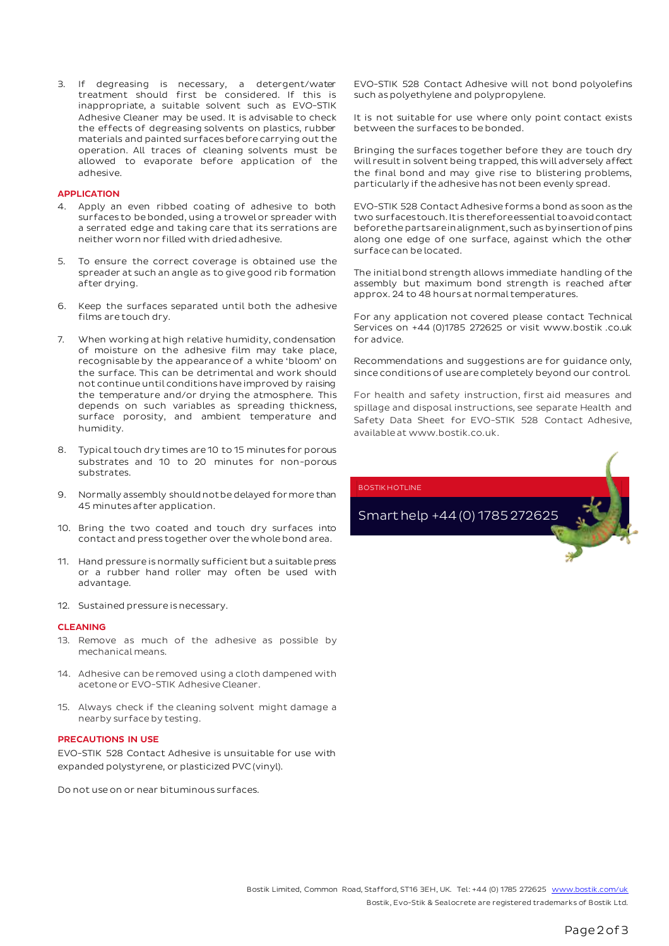3. If degreasing is necessary, a detergent/water treatment should first be considered. If this is inappropriate, a suitable solvent such as EVO-STIK Adhesive Cleaner may be used. It is advisable to check the effects of degreasing solvents on plastics, rubber materials and painted surfaces before carrying out the operation. All traces of cleaning solvents must be allowed to evaporate before application of the adhesive.

# **APPLICATION**

- 4. Apply an even ribbed coating of adhesive to both surfaces to be bonded, using a trowel or spreader with a serrated edge and taking care that its serrations are neither worn nor filled with dried adhesive.
- 5. To ensure the correct coverage is obtained use the spreader at such an angle as to give good rib formation after drying.
- 6. Keep the surfaces separated until both the adhesive films are touch dry.
- 7. When working at high relative humidity, condensation of moisture on the adhesive film may take place, recognisable by the appearance of a white 'bloom' on the surface. This can be detrimental and work should not continue until conditions have improved by raising the temperature and/or drying the atmosphere. This depends on such variables as spreading thickness, surface porosity, and ambient temperature and humidity.
- 8. Typical touch dry times are 10 to 15 minutes for porous substrates and 10 to 20 minutes for non-porous substrates.
- 9. Normally assembly should not be delayed for more than 45 minutes after application.
- 10. Bring the two coated and touch dry surfaces into contact and press together over the whole bond area.
- 11. Hand pressure is normally sufficient but a suitable press or a rubber hand roller may often be used with advantage.
- 12. Sustained pressure is necessary.

# **CLEANING**

- 13. Remove as much of the adhesive as possible by mechanical means.
- 14. Adhesive can be removed using a cloth dampened with acetone or EVO-STIK Adhesive Cleaner.
- 15. Always check if the cleaning solvent might damage a nearby surface by testing.

# **PRECAUTIONS IN USE**

EVO-STIK 528 Contact Adhesive is unsuitable for use with expanded polystyrene, or plasticized PVC (vinyl).

Do not use on or near bituminous surfaces.

EVO-STIK 528 Contact Adhesive will not bond polyolefins such as polyethylene and polypropylene.

It is not suitable for use where only point contact exists between the surfaces to be bonded.

Bringing the surfaces together before they are touch dry will result in solvent being trapped, this will adversely affect the final bond and may give rise to blistering problems, particularly if the adhesive has not been evenly spread.

EVO-STIK 528 Contact Adhesive forms a bond as soon as the two surfaces touch. It is therefore essential to avoid contact before the parts are in alignment, such as by insertion of pins along one edge of one surface, against which the other surface can be located.

The initial bond strength allows immediate handling of the assembly but maximum bond strength is reached after approx. 24 to 48 hours at normal temperatures.

For any application not covered please contact Technical Services on +44 (0)1785 272625 or visit www.bostik .co.uk for advice.

Recommendations and suggestions are for guidance only, since conditions of use are completely beyond our control.

For health and safety instruction, first aid measures and spillage and disposal instructions, see separate Health and Safety Data Sheet for EVO-STIK 528 Contact Adhesive, available at www.bostik.co.uk.

BOSTIK HOTLINE

Smart help +44 (0) 1785 272625